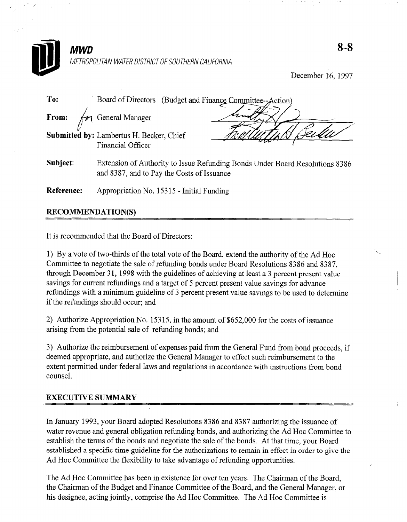

December 16, 1997

| To:        | Board of Directors (Budget and Finance Committee--Action)                                                                  |  |  |
|------------|----------------------------------------------------------------------------------------------------------------------------|--|--|
| From:      | General Manager                                                                                                            |  |  |
|            | <b>Submitted by: Lambertus H. Becker, Chief</b><br><b>Financial Officer</b>                                                |  |  |
| Subject:   | Extension of Authority to Issue Refunding Bonds Under Board Resolutions 8386<br>and 8387, and to Pay the Costs of Issuance |  |  |
| Reference: | Appropriation No. 15315 - Initial Funding                                                                                  |  |  |

# RECOMMENDATION(S)

It is recommended that the Board of Directors:

1) By a vote of two-thirds of the total vote of the Board, extend the authority of the Ad Hoc Committee to negotiate the sale of refunding bonds under Board Resolutions 8386 and 8387, through December 31, 1998 with the guidelines of achieving at least a 3 percent present value savings for current refundings and a target of 5 percent present value savings for advance refundings with a minimum guideline of 3 percent present value savings to be used to determine if the reftmdings should occur; and

 $2$ ) Authorize Appropriation No. 153 153 153 153 153 15, in the amount of issue of issue of issue of issue of issue of issue of issue of issue of issue of issue of issue of issue of issue of issue of issue of issue of iss  $\mathbb{Z}$  Addition  $\mathbb{Z}$  refunding  $\mathbb{Z}$  refunding bonds; and  $\mathbb{Z}$  refunding bonds; and  $\mathbb{Z}$  refunding bonds; and  $\mathbb{Z}$  refunding  $\mathbb{Z}$ 

 $\Delta$ uthorize the reimbursement of expenses paid from the General Fund from bond proceeds, if  $\Delta$  $\sigma$ ) Authorize the reimbursement of expenses paid from the General Fund from bond proceed deemed appropriate, and authorize the General Manager to effect such reimbursement to the extent permitted under federal laws and regulations in accordance with instructions from bond counsel.

#### EXECUTIVE SUMMARY SUMMARY **EXECUTIVE SUMMARY**

In January 1993, your Board adopted Resolutions 8386 and 8387 authorizing the issuance of water revenue and general obligation refunding bonds, and authorizing the Ad Hoc Committee to establish the terms of the bonds and negotiate the sale of the bonds. At that time, your Board established a specific time guideline for the authorizations to remain in effect in order to give the Ad Hoc Committee the flexibility to take advantage of refunding opportunities.

The Ad Hoc Committee has been in existence for over ten years. The Chairman of the Board, the Chairman of the Budget and Finance Committee of the Board, and the General Manager, or his designee, acting jointly, comprise the Ad Hoc Committee. The Ad Hoc Committee is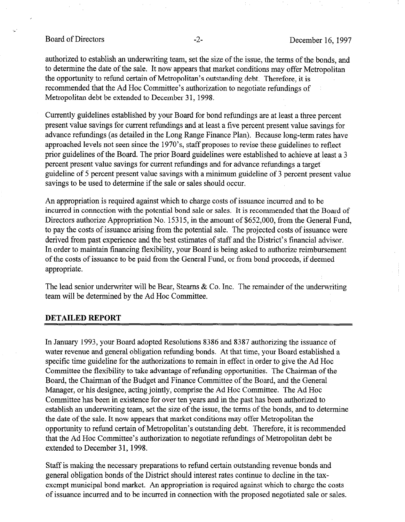Board of Directors -2- December 16, 1997

authorized to establish an underwriting team, set the size of the issue, the terms of the bonds, and to determine the date of the sale. It now appears that market conditions may offer Metropolitan the opportunity to refund certain of Metropolitan's outstanding debt. Therefore, it is recommended that the Ad Hoc Committee's authorization to negotiate refundings of Metropolitan debt be extended to December 31, 1998.

Currently guidelines established by your Board for bond refundings are at least a three percent present value savings for current refundings and at least a five percent present value savings for advance refundings (as detailed in the Long Range Finance Plan). Because long-term rates have approached levels not seen since the 1970's, staff proposes to revise these guidelines to reflect prior guidelines of the Board. The prior Board guidelines were established to achieve at least a 3 percent present value savings for current refundings and for advance refundings a target guideline of 5 percent present value savings with a minimum guideline of 3 percent present value savings to be used to determine if the sale or sales should occur.

An appropriation is required against which to charge costs of issuance incurred and to be incurred in connection with the potential bond sale or sales. It is recommended that the Board of Directors authorize Appropriation No. 15315, in the amount of \$652,000, from the General Fund, to pay the costs of issuance arising from the potential sale. The projected costs of issuance were derived from past experience and the best estimates of staff and the District's financial advisor. In order to maintain financing flexibility, your Board is being asked to authorize reimbursement of the costs of issuance to be paid from the General Fund, or from bond proceeds, if deemed appropriate.

The lead senior underwriter will be Bear, Stearns & Co. Inc. The remainder of the underwriting the lead senior under which will be deal, steams  $\alpha$ 

### DETAILED REPORT

In January 1993, your Board adopted Resolutions 8386 and 8387 authorizing the issuance of water revenue and general obligation refunding bonds. At that time, your Board established a specific time guideline for the authorizations to remain in effect in order to give the Ad Hoc Committee the flexibility to take advantage of refunding opportunities. The Chairman of the Board, the Chairman of the Budget and Finance Committee of the Board, and the General Manager, or his designee, acting jointly, comprise the Ad Hoc Committee. The Ad Hoc Committee has been in existence for over ten years and in the past has been authorized to establish an underwriting team, set the size of the issue, the terms of the bonds, and to determine the date of the sale. It now appears that market conditions may offer Metropolitan the opportunity to refund certain of Metropolitan's outstanding debt. Therefore, it is recommended that the Ad Hoc Committee's authorization to negotiate refundings of Metropolitan debt be extended to December 31, 1998.

Staff is making the necessary preparations to refund certain outstanding revenue bonds and general obligation bonds of the District should interest rates continue to decline in the taxexempt municipal bond market. An appropriation is required against which to charge the costs. of issuance incurred and to be incurred in connection with the proposed negotiated sale or sales.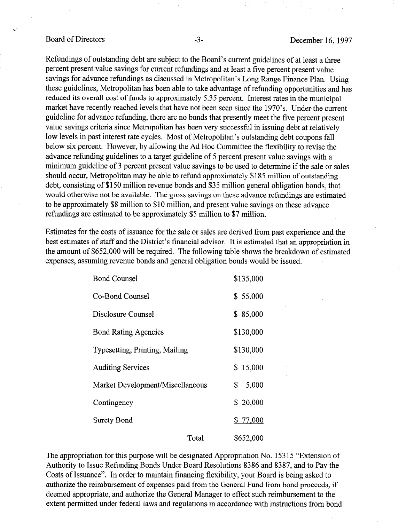## Board of Directors -3- December 16, 1997

Refundings of outstanding debt are subject to the Board's current guidelines of at least a three percent present value savings for current refundings and at least a five percent present value savings for advance refundings as discussed in Metropolitan's Long Range Finance Plan. Using these guidelines, Metropolitan has been able to take advantage of refunding opportunities and has reduced its overall cost of funds to approximately 5.35 percent. Interest rates in the municipal market have recently reached levels that have not been seen since the 1970's. Under the current guideline for advance refunding, there are no bonds that presently meet the five percent present value savings criteria since Metropolitan has been very successful in issuing debt at relatively low levels in past interest rate cycles. Most of Metropolitan's outstanding debt coupons fall below six percent. However, by allowing the Ad Hoc Committee the flexibility to revise the advance refunding guidelines to a target guideline of 5 percent present value savings with a minimum guideline of 3 percent present value savings to be used to determine if the sale or sales should occur, Metropolitan may be able to refund approximately \$185 million of outstanding debt, consisting of \$150 million revenue bonds and \$35 million general obligation bonds, that would otherwise not be available. The gross savings on these advance refundings are estimated to be approximately \$8 million to \$10 million, and present value savings on these advance refundings are estimated to be approximately \$5 million to \$7 million.

Estimates for the costs of issuance for the sale or sales are derived from past experience and the best estimates of staff and the District's financial advisor. It is estimated that an appropriation in  $t_{\text{tot}}$  and  $t_{\text{tot}}$  and  $t_{\text{tot}}$  and  $t_{\text{tot}}$  is the following table shows the breakdown of estimated that the appropriation of experiment of  $\phi$ 002,000 mm of required. The rolling and one of the modelling

| <b>Bond Counsel</b>              |       | \$135,000   |
|----------------------------------|-------|-------------|
| Co-Bond Counsel                  |       | \$55,000    |
| Disclosure Counsel               |       | \$85,000    |
| <b>Bond Rating Agencies</b>      |       | \$130,000   |
| Typesetting, Printing, Mailing   |       | \$130,000   |
| <b>Auditing Services</b>         |       | \$15,000    |
| Market Development/Miscellaneous |       | \$<br>5,000 |
| Contingency                      |       | \$20,000    |
| Surety Bond                      |       | \$77,000    |
|                                  | Total | \$652.000   |

The appropriation for this purpose will be designated Appropriation No. 15315 "Extension of Authority to Issue Refunding Bonds Under Board Resolutions 8386 and 8387, and to Pay the Costs of Issuance". In order to maintain financing flexibility, your Board is being asked to authorize the reimbursement of expenses paid from the General Fund from bond proceeds, if deemed appropriate, and authorize the General Manager to effect such reimbursement to the extent permitted under federal laws and regulations in accordance with instructions from bond